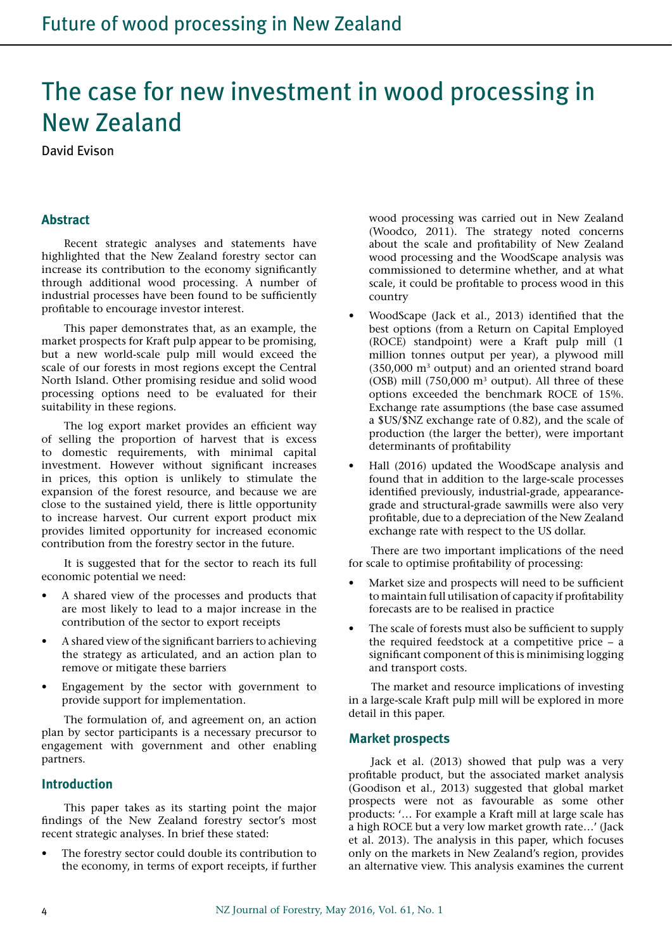# The case for new investment in wood processing in New Zealand

David Evison

#### **Abstract**

Recent strategic analyses and statements have highlighted that the New Zealand forestry sector can increase its contribution to the economy significantly through additional wood processing. A number of industrial processes have been found to be sufficiently profitable to encourage investor interest.

This paper demonstrates that, as an example, the market prospects for Kraft pulp appear to be promising, but a new world-scale pulp mill would exceed the scale of our forests in most regions except the Central North Island. Other promising residue and solid wood processing options need to be evaluated for their suitability in these regions.

The log export market provides an efficient way of selling the proportion of harvest that is excess to domestic requirements, with minimal capital investment. However without significant increases in prices, this option is unlikely to stimulate the expansion of the forest resource, and because we are close to the sustained yield, there is little opportunity to increase harvest. Our current export product mix provides limited opportunity for increased economic contribution from the forestry sector in the future.

It is suggested that for the sector to reach its full economic potential we need:

- A shared view of the processes and products that are most likely to lead to a major increase in the contribution of the sector to export receipts
- A shared view of the significant barriers to achieving the strategy as articulated, and an action plan to remove or mitigate these barriers
- Engagement by the sector with government to provide support for implementation.

The formulation of, and agreement on, an action plan by sector participants is a necessary precursor to engagement with government and other enabling partners.

#### **Introduction**

This paper takes as its starting point the major findings of the New Zealand forestry sector's most recent strategic analyses. In brief these stated:

The forestry sector could double its contribution to the economy, in terms of export receipts, if further wood processing was carried out in New Zealand (Woodco, 2011). The strategy noted concerns about the scale and profitability of New Zealand wood processing and the WoodScape analysis was commissioned to determine whether, and at what scale, it could be profitable to process wood in this country

- WoodScape (Jack et al., 2013) identified that the best options (from a Return on Capital Employed (ROCE) standpoint) were a Kraft pulp mill (1 million tonnes output per year), a plywood mill (350,000 m3 output) and an oriented strand board (OSB) mill (750,000 m3 output). All three of these options exceeded the benchmark ROCE of 15%. Exchange rate assumptions (the base case assumed a \$US/\$NZ exchange rate of 0.82), and the scale of production (the larger the better), were important determinants of profitability
- Hall (2016) updated the WoodScape analysis and found that in addition to the large-scale processes identified previously, industrial-grade, appearancegrade and structural-grade sawmills were also very profitable, due to a depreciation of the New Zealand exchange rate with respect to the US dollar.

There are two important implications of the need for scale to optimise profitability of processing:

- Market size and prospects will need to be sufficient to maintain full utilisation of capacity if profitability forecasts are to be realised in practice
- The scale of forests must also be sufficient to supply the required feedstock at a competitive price – a significant component of this is minimising logging and transport costs.

The market and resource implications of investing in a large-scale Kraft pulp mill will be explored in more detail in this paper.

#### **Market prospects**

Jack et al. (2013) showed that pulp was a very profitable product, but the associated market analysis (Goodison et al., 2013) suggested that global market prospects were not as favourable as some other products: '… For example a Kraft mill at large scale has a high ROCE but a very low market growth rate…' (Jack et al. 2013). The analysis in this paper, which focuses only on the markets in New Zealand's region, provides an alternative view. This analysis examines the current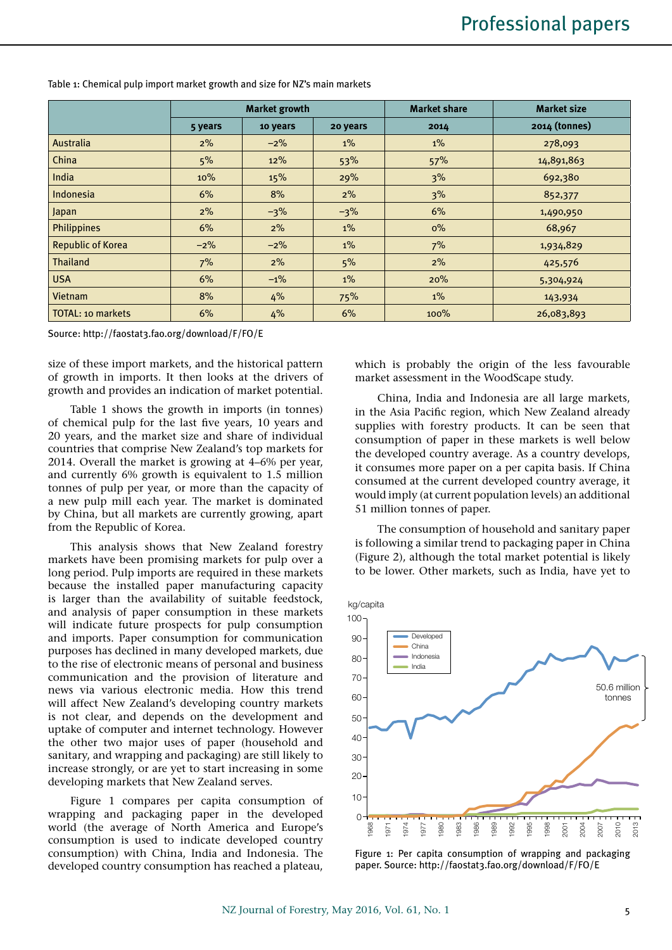|                          |         | <b>Market growth</b> |          | <b>Market share</b> | <b>Market size</b> |  |
|--------------------------|---------|----------------------|----------|---------------------|--------------------|--|
|                          | 5 years | 10 years             | 20 years | 2014                | 2014 (tonnes)      |  |
| Australia                | $2\%$   | $-2\%$               | $1\%$    | $1\%$               | 278,093            |  |
| China                    | 5%      | 12%                  | 53%      | 57%                 | 14,891,863         |  |
| India                    | 10%     | 15%                  | 29%      | 3%                  | 692,380            |  |
| Indonesia                | 6%      | 8%                   | 2%       | 3%                  | 852,377            |  |
| Japan                    | $2\%$   | $-3\%$               | $-3\%$   | 6%                  | 1,490,950          |  |
| <b>Philippines</b>       | 6%      | 2%                   | $1\%$    | $0\%$               | 68,967             |  |
| <b>Republic of Korea</b> | $-2\%$  | $-2%$                | $1\%$    | 7%                  | 1,934,829          |  |
| Thailand                 | 7%      | 2%                   | 5%       | 2%                  | 425,576            |  |
| <b>USA</b>               | 6%      | $-1%$                | $1\%$    | 20%                 | 5,304,924          |  |
| <b>Vietnam</b>           | 8%      | 4%                   | 75%      | $1\%$               | 143,934            |  |
| <b>TOTAL: 10 markets</b> | 6%      | 4%                   | 6%       | 100%                | 26,083,893         |  |

Table 1: Chemical pulp import market growth and size for NZ's main markets

Source: http://faostat3.fao.org/download/F/FO/E

size of these import markets, and the historical pattern of growth in imports. It then looks at the drivers of growth and provides an indication of market potential.

Table 1 shows the growth in imports (in tonnes) of chemical pulp for the last five years, 10 years and 20 years, and the market size and share of individual countries that comprise New Zealand's top markets for 2014. Overall the market is growing at 4–6% per year, and currently 6% growth is equivalent to 1.5 million tonnes of pulp per year, or more than the capacity of a new pulp mill each year. The market is dominated by China, but all markets are currently growing, apart from the Republic of Korea.

This analysis shows that New Zealand forestry markets have been promising markets for pulp over a long period. Pulp imports are required in these markets because the installed paper manufacturing capacity is larger than the availability of suitable feedstock, and analysis of paper consumption in these markets will indicate future prospects for pulp consumption and imports. Paper consumption for communication purposes has declined in many developed markets, due to the rise of electronic means of personal and business communication and the provision of literature and news via various electronic media. How this trend will affect New Zealand's developing country markets is not clear, and depends on the development and uptake of computer and internet technology. However the other two major uses of paper (household and sanitary, and wrapping and packaging) are still likely to increase strongly, or are yet to start increasing in some developing markets that New Zealand serves.

Figure 1 compares per capita consumption of wrapping and packaging paper in the developed world (the average of North America and Europe's consumption is used to indicate developed country consumption) with China, India and Indonesia. The developed country consumption has reached a plateau,

which is probably the origin of the less favourable market assessment in the WoodScape study.

China, India and Indonesia are all large markets, in the Asia Pacific region, which New Zealand already supplies with forestry products. It can be seen that consumption of paper in these markets is well below the developed country average. As a country develops, it consumes more paper on a per capita basis. If China consumed at the current developed country average, it would imply (at current population levels) an additional 51 million tonnes of paper.

The consumption of household and sanitary paper is following a similar trend to packaging paper in China (Figure 2), although the total market potential is likely to be lower. Other markets, such as India, have yet to



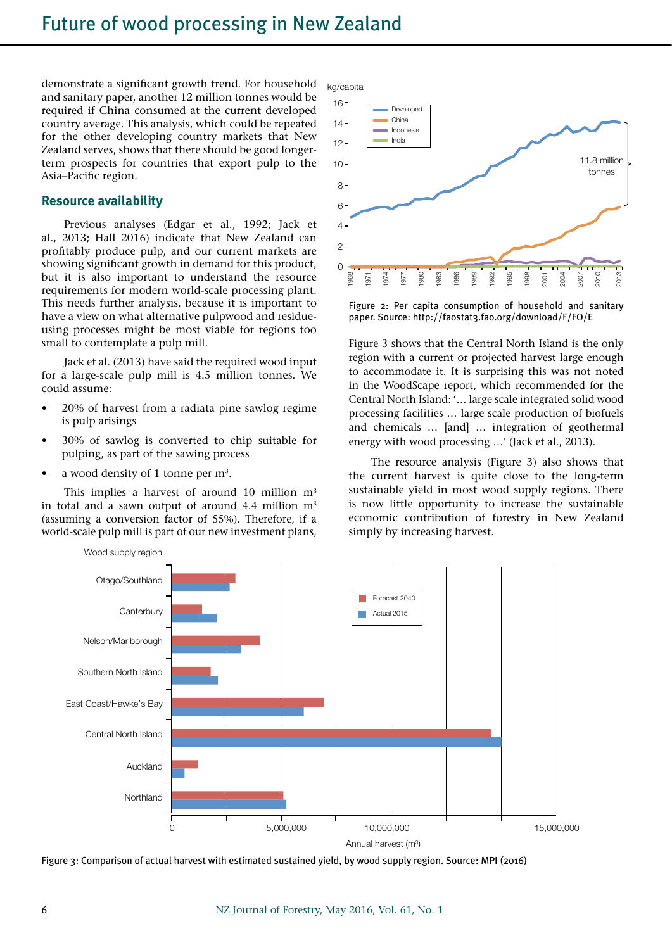demonstrate a significant growth trend. For household and sanitary paper, another 12 million tonnes would be required if China consumed at the current developed country average. This analysis, which could be repeated for the other developing country markets that New Zealand serves, shows that there should be good longerterm prospects for countries that export pulp to the Asia–Pacific region.

#### **Resource availability**

Previous analyses (Edgar et al., 1992; Jack et al., 2013; Hall 2016) indicate that New Zealand can profitably produce pulp, and our current markets are showing significant growth in demand for this product, but it is also important to understand the resource requirements for modern world-scale processing plant. This needs further analysis, because it is important to have a view on what alternative pulpwood and residueusing processes might be most viable for regions too small to contemplate a pulp mill.

Jack et al. (2013) have said the required wood input for a large-scale pulp mill is 4.5 million tonnes. We could assume:

- 20% of harvest from a radiata pine sawlog regime is pulp arisings
- 30% of sawlog is converted to chip suitable for pulping, as part of the sawing process
- a wood density of 1 tonne per  $m<sup>3</sup>$ .

This implies a harvest of around 10 million  $m<sup>3</sup>$ in total and a sawn output of around 4.4 million  $m<sup>3</sup>$ (assuming a conversion factor of 55%). Therefore, if a world-scale pulp mill is part of our new investment plans,

kg/capita



Figure 2: Per capita consumption of household and sanitary paper. Source: http://faostat3.fao.org/download/F/FO/E

Figure 3 shows that the Central North Island is the only region with a current or projected harvest large enough to accommodate it. It is surprising this was not noted in the WoodScape report, which recommended for the Central North Island: '… large scale integrated solid wood processing facilities … large scale production of biofuels and chemicals … [and] … integration of geothermal energy with wood processing …' (Jack et al., 2013).

The resource analysis (Figure 3) also shows that the current harvest is quite close to the long-term sustainable yield in most wood supply regions. There is now little opportunity to increase the sustainable economic contribution of forestry in New Zealand simply by increasing harvest.



Figure 3: Comparison of actual harvest with estimated sustained yield, by wood supply region. Source: MPI (2016)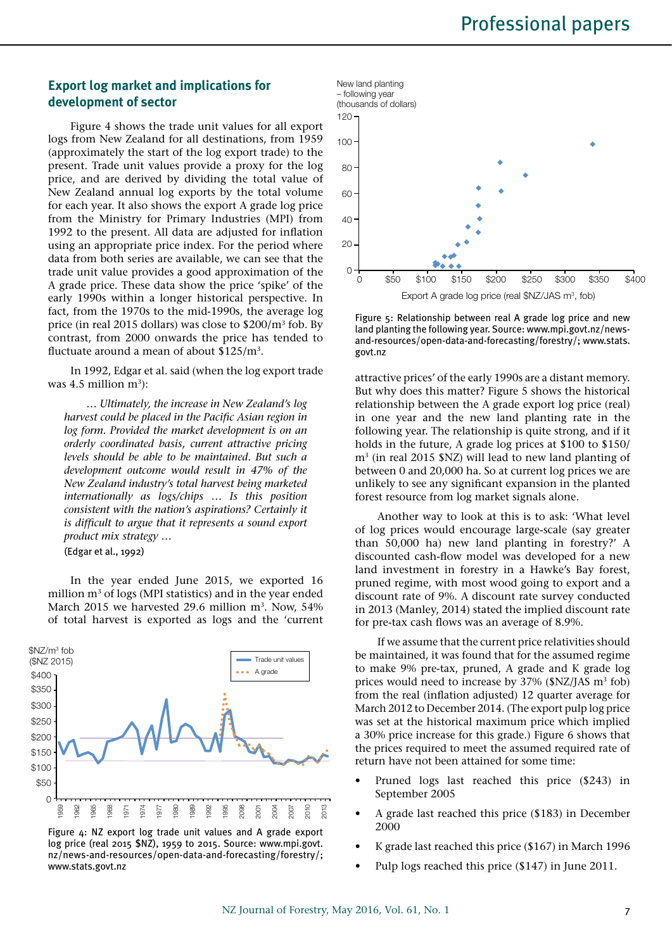## **Export log market and implications for development of sector**

Figure 4 shows the trade unit values for all export logs from New Zealand for all destinations, from 1959 (approximately the start of the log export trade) to the present. Trade unit values provide a proxy for the log price, and are derived by dividing the total value of New Zealand annual log exports by the total volume for each year. It also shows the export A grade log price from the Ministry for Primary Industries (MPI) from 1992 to the present. All data are adjusted for inflation using an appropriate price index. For the period where data from both series are available, we can see that the trade unit value provides a good approximation of the A grade price. These data show the price 'spike' of the early 1990s within a longer historical perspective. In fact, from the 1970s to the mid-1990s, the average log price (in real 2015 dollars) was close to \$200/m3 fob. By contrast, from 2000 onwards the price has tended to fluctuate around a mean of about \$125/m3.

In 1992, Edgar et al. said (when the log export trade was  $4.5$  million m<sup>3</sup>):

*… Ultimately, the increase in New Zealand's log harvest could be placed in the Pacific Asian region in log form. Provided the market development is on an orderly coordinated basis, current attractive pricing levels should be able to be maintained. But such a development outcome would result in 47% of the New Zealand industry's total harvest being marketed internationally as logs/chips … Is this position consistent with the nation's aspirations? Certainly it is difficult to argue that it represents a sound export product mix strategy …* 

(Edgar et al., 1992)

In the year ended June 2015, we exported 16 million m3 of logs (MPI statistics) and in the year ended March 2015 we harvested 29.6 million  $m<sup>3</sup>$ . Now, 54% of total harvest is exported as logs and the 'current







Figure 5: Relationship between real A grade log price and new land planting the following year. Source: www.mpi.govt.nz/newsand-resources/open-data-and-forecasting/forestry/; www.stats. govt.nz

attractive prices' of the early 1990s are a distant memory. But why does this matter? Figure 5 shows the historical relationship between the A grade export log price (real) in one year and the new land planting rate in the following year. The relationship is quite strong, and if it holds in the future, A grade log prices at \$100 to \$150/ m3 (in real 2015 \$NZ) will lead to new land planting of between 0 and 20,000 ha. So at current log prices we are unlikely to see any significant expansion in the planted forest resource from log market signals alone.

Another way to look at this is to ask: 'What level of log prices would encourage large-scale (say greater than 50,000 ha) new land planting in forestry?' A discounted cash-flow model was developed for a new land investment in forestry in a Hawke's Bay forest, pruned regime, with most wood going to export and a discount rate of 9%. A discount rate survey conducted in 2013 (Manley, 2014) stated the implied discount rate for pre-tax cash flows was an average of 8.9%.

If we assume that the current price relativities should be maintained, it was found that for the assumed regime to make 9% pre-tax, pruned, A grade and K grade log prices would need to increase by 37% (\$NZ/JAS m<sup>3</sup> fob) from the real (inflation adjusted) 12 quarter average for March 2012 to December 2014. (The export pulp log price was set at the historical maximum price which implied a 30% price increase for this grade.) Figure 6 shows that the prices required to meet the assumed required rate of return have not been attained for some time:

- Pruned logs last reached this price (\$243) in September 2005
- A grade last reached this price (\$183) in December 2000
- K grade last reached this price  $(\$167)$  in March 1996
- Pulp logs reached this price (\$147) in June 2011.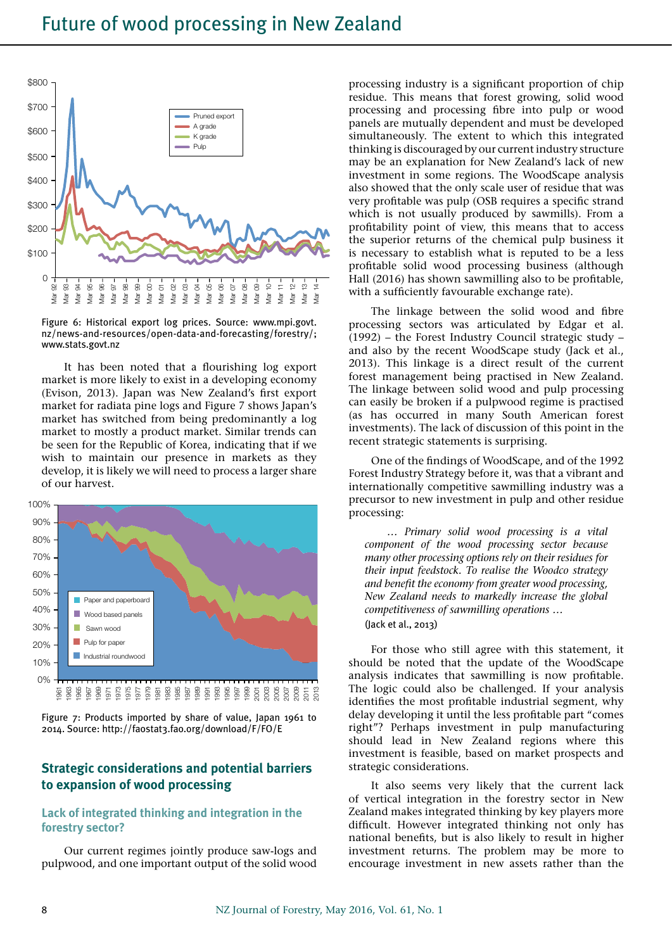

Figure 6: Historical export log prices. Source: www.mpi.govt. nz/news-and-resources/open-data-and-forecasting/forestry/; www.stats.govt.nz

It has been noted that a flourishing log export market is more likely to exist in a developing economy (Evison, 2013). Japan was New Zealand's first export market for radiata pine logs and Figure 7 shows Japan's market has switched from being predominantly a log market to mostly a product market. Similar trends can be seen for the Republic of Korea, indicating that if we wish to maintain our presence in markets as they develop, it is likely we will need to process a larger share of our harvest.



Figure 7: Products imported by share of value, Japan 1961 to 2014. Source: http://faostat3.fao.org/download/F/FO/E

## **Strategic considerations and potential barriers to expansion of wood processing**

## **Lack of integrated thinking and integration in the forestry sector?**

Our current regimes jointly produce saw-logs and pulpwood, and one important output of the solid wood

processing industry is a significant proportion of chip residue. This means that forest growing, solid wood processing and processing fibre into pulp or wood panels are mutually dependent and must be developed simultaneously. The extent to which this integrated thinking is discouraged by our current industry structure may be an explanation for New Zealand's lack of new investment in some regions. The WoodScape analysis also showed that the only scale user of residue that was very profitable was pulp (OSB requires a specific strand which is not usually produced by sawmills). From a profitability point of view, this means that to access the superior returns of the chemical pulp business it is necessary to establish what is reputed to be a less profitable solid wood processing business (although Hall (2016) has shown sawmilling also to be profitable, with a sufficiently favourable exchange rate).

The linkage between the solid wood and fibre processing sectors was articulated by Edgar et al. (1992) – the Forest Industry Council strategic study – and also by the recent WoodScape study (Jack et al., 2013). This linkage is a direct result of the current forest management being practised in New Zealand. The linkage between solid wood and pulp processing can easily be broken if a pulpwood regime is practised (as has occurred in many South American forest investments). The lack of discussion of this point in the recent strategic statements is surprising.

One of the findings of WoodScape, and of the 1992 Forest Industry Strategy before it, was that a vibrant and internationally competitive sawmilling industry was a precursor to new investment in pulp and other residue processing:

*… Primary solid wood processing is a vital component of the wood processing sector because many other processing options rely on their residues for their input feedstock. To realise the Woodco strategy and benefit the economy from greater wood processing, New Zealand needs to markedly increase the global competitiveness of sawmilling operations …*  (Jack et al., 2013)

For those who still agree with this statement, it should be noted that the update of the WoodScape analysis indicates that sawmilling is now profitable. The logic could also be challenged. If your analysis identifies the most profitable industrial segment, why delay developing it until the less profitable part "comes right"? Perhaps investment in pulp manufacturing should lead in New Zealand regions where this investment is feasible, based on market prospects and strategic considerations.

It also seems very likely that the current lack of vertical integration in the forestry sector in New Zealand makes integrated thinking by key players more difficult. However integrated thinking not only has national benefits, but is also likely to result in higher investment returns. The problem may be more to encourage investment in new assets rather than the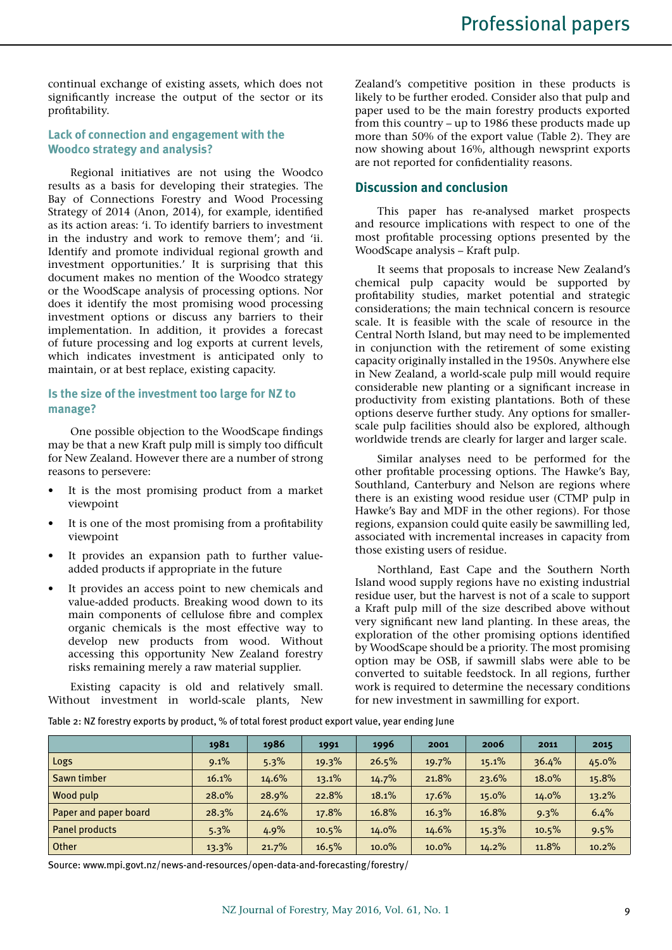continual exchange of existing assets, which does not significantly increase the output of the sector or its profitability.

## **Lack of connection and engagement with the Woodco strategy and analysis?**

Regional initiatives are not using the Woodco results as a basis for developing their strategies. The Bay of Connections Forestry and Wood Processing Strategy of 2014 (Anon, 2014), for example, identified as its action areas: 'i. To identify barriers to investment in the industry and work to remove them'; and 'ii. Identify and promote individual regional growth and investment opportunities.' It is surprising that this document makes no mention of the Woodco strategy or the WoodScape analysis of processing options. Nor does it identify the most promising wood processing investment options or discuss any barriers to their implementation. In addition, it provides a forecast of future processing and log exports at current levels, which indicates investment is anticipated only to maintain, or at best replace, existing capacity.

## **Is the size of the investment too large for NZ to manage?**

One possible objection to the WoodScape findings may be that a new Kraft pulp mill is simply too difficult for New Zealand. However there are a number of strong reasons to persevere:

- It is the most promising product from a market viewpoint
- • It is one of the most promising from a profitability viewpoint
- It provides an expansion path to further valueadded products if appropriate in the future
- • It provides an access point to new chemicals and value-added products. Breaking wood down to its main components of cellulose fibre and complex organic chemicals is the most effective way to develop new products from wood. Without accessing this opportunity New Zealand forestry risks remaining merely a raw material supplier.

Existing capacity is old and relatively small. Without investment in world-scale plants, New Zealand's competitive position in these products is likely to be further eroded. Consider also that pulp and paper used to be the main forestry products exported from this country – up to 1986 these products made up more than 50% of the export value (Table 2). They are now showing about 16%, although newsprint exports are not reported for confidentiality reasons.

## **Discussion and conclusion**

This paper has re-analysed market prospects and resource implications with respect to one of the most profitable processing options presented by the WoodScape analysis – Kraft pulp.

It seems that proposals to increase New Zealand's chemical pulp capacity would be supported by profitability studies, market potential and strategic considerations; the main technical concern is resource scale. It is feasible with the scale of resource in the Central North Island, but may need to be implemented in conjunction with the retirement of some existing capacity originally installed in the 1950s. Anywhere else in New Zealand, a world-scale pulp mill would require considerable new planting or a significant increase in productivity from existing plantations. Both of these options deserve further study. Any options for smallerscale pulp facilities should also be explored, although worldwide trends are clearly for larger and larger scale.

Similar analyses need to be performed for the other profitable processing options. The Hawke's Bay, Southland, Canterbury and Nelson are regions where there is an existing wood residue user (CTMP pulp in Hawke's Bay and MDF in the other regions). For those regions, expansion could quite easily be sawmilling led, associated with incremental increases in capacity from those existing users of residue.

Northland, East Cape and the Southern North Island wood supply regions have no existing industrial residue user, but the harvest is not of a scale to support a Kraft pulp mill of the size described above without very significant new land planting. In these areas, the exploration of the other promising options identified by WoodScape should be a priority. The most promising option may be OSB, if sawmill slabs were able to be converted to suitable feedstock. In all regions, further work is required to determine the necessary conditions for new investment in sawmilling for export.

Table 2: NZ forestry exports by product, % of total forest product export value, year ending June

|                       | 1981  | 1986  | 1991     | 1996     | 2001  | 2006  | 2011     | 2015  |
|-----------------------|-------|-------|----------|----------|-------|-------|----------|-------|
| Logs                  | 9.1%  | 5.3%  | $19.3\%$ | 26.5%    | 19.7% | 15.1% | 36.4%    | 45.0% |
| Sawn timber           | 16.1% | 14.6% | 13.1%    | 14.7%    | 21.8% | 23.6% | 18.0%    | 15.8% |
| Wood pulp             | 28.0% | 28.9% | 22.8%    | 18.1%    | 17.6% | 15.0% | $14.0\%$ | 13.2% |
| Paper and paper board | 28.3% | 24.6% | 17.8%    | 16.8%    | 16.3% | 16.8% | 9.3%     | 6.4%  |
| Panel products        | 5.3%  | 4.9%  | 10.5%    | $14.0\%$ | 14.6% | 15.3% | 10.5%    | 9.5%  |
| Other                 | 13.3% | 21.7% | 16.5%    | $10.0\%$ | 10.0% | 14.2% | 11.8%    | 10.2% |

Source: www.mpi.govt.nz/news-and-resources/open-data-and-forecasting/forestry/